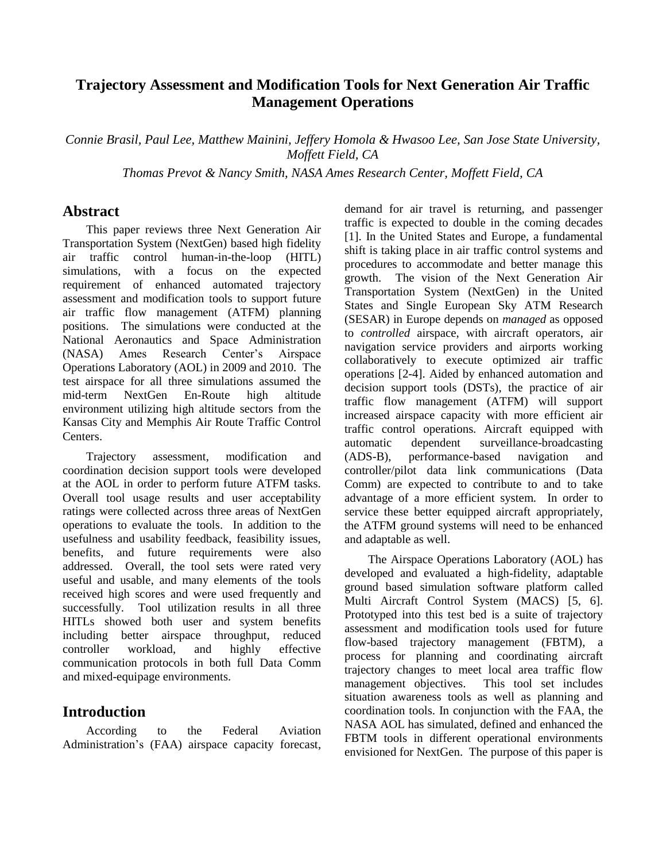# **Trajectory Assessment and Modification Tools for Next Generation Air Traffic Management Operations**

*Connie Brasil, Paul Lee, Matthew Mainini, Jeffery Homola & Hwasoo Lee, San Jose State University, Moffett Field, CA*

*Thomas Prevot & Nancy Smith, NASA Ames Research Center, Moffett Field, CA*

#### **Abstract**

This paper reviews three Next Generation Air Transportation System (NextGen) based high fidelity air traffic control human-in-the-loop (HITL) simulations, with a focus on the expected requirement of enhanced automated trajectory assessment and modification tools to support future air traffic flow management (ATFM) planning positions. The simulations were conducted at the National Aeronautics and Space Administration (NASA) Ames Research Center's Airspace Operations Laboratory (AOL) in 2009 and 2010. The test airspace for all three simulations assumed the mid-term NextGen En-Route high altitude environment utilizing high altitude sectors from the Kansas City and Memphis Air Route Traffic Control Centers.

Trajectory assessment, modification and coordination decision support tools were developed at the AOL in order to perform future ATFM tasks. Overall tool usage results and user acceptability ratings were collected across three areas of NextGen operations to evaluate the tools. In addition to the usefulness and usability feedback, feasibility issues, benefits, and future requirements were also addressed. Overall, the tool sets were rated very useful and usable, and many elements of the tools received high scores and were used frequently and successfully. Tool utilization results in all three HITLs showed both user and system benefits including better airspace throughput, reduced controller workload, and highly effective communication protocols in both full Data Comm and mixed-equipage environments.

## **Introduction**

According to the Federal Aviation Administration's (FAA) airspace capacity forecast, demand for air travel is returning, and passenger traffic is expected to double in the coming decades [1]. In the United States and Europe, a fundamental shift is taking place in air traffic control systems and procedures to accommodate and better manage this growth. The vision of the Next Generation Air Transportation System (NextGen) in the United States and Single European Sky ATM Research (SESAR) in Europe depends on *managed* as opposed to *controlled* airspace, with aircraft operators, air navigation service providers and airports working collaboratively to execute optimized air traffic operations [2-4]. Aided by enhanced automation and decision support tools (DSTs), the practice of air traffic flow management (ATFM) will support increased airspace capacity with more efficient air traffic control operations. Aircraft equipped with automatic dependent surveillance-broadcasting (ADS-B), performance-based navigation and controller/pilot data link communications (Data Comm) are expected to contribute to and to take advantage of a more efficient system. In order to service these better equipped aircraft appropriately, the ATFM ground systems will need to be enhanced and adaptable as well.

The Airspace Operations Laboratory (AOL) has developed and evaluated a high-fidelity, adaptable ground based simulation software platform called Multi Aircraft Control System (MACS) [5, 6]. Prototyped into this test bed is a suite of trajectory assessment and modification tools used for future flow-based trajectory management (FBTM), a process for planning and coordinating aircraft trajectory changes to meet local area traffic flow management objectives. This tool set includes situation awareness tools as well as planning and coordination tools. In conjunction with the FAA, the NASA AOL has simulated, defined and enhanced the FBTM tools in different operational environments envisioned for NextGen. The purpose of this paper is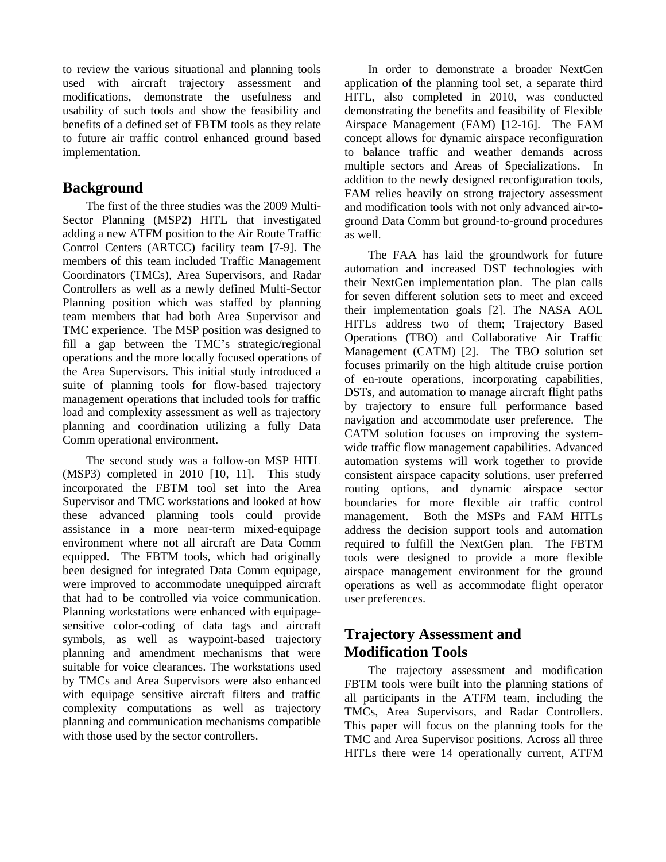to review the various situational and planning tools used with aircraft trajectory assessment and modifications, demonstrate the usefulness and usability of such tools and show the feasibility and benefits of a defined set of FBTM tools as they relate to future air traffic control enhanced ground based implementation.

## **Background**

The first of the three studies was the 2009 Multi-Sector Planning (MSP2) HITL that investigated adding a new ATFM position to the Air Route Traffic Control Centers (ARTCC) facility team [7-9]. The members of this team included Traffic Management Coordinators (TMCs), Area Supervisors, and Radar Controllers as well as a newly defined Multi-Sector Planning position which was staffed by planning team members that had both Area Supervisor and TMC experience. The MSP position was designed to fill a gap between the TMC's strategic/regional operations and the more locally focused operations of the Area Supervisors. This initial study introduced a suite of planning tools for flow-based trajectory management operations that included tools for traffic load and complexity assessment as well as trajectory planning and coordination utilizing a fully Data Comm operational environment.

The second study was a follow-on MSP HITL (MSP3) completed in 2010 [10, 11]. This study incorporated the FBTM tool set into the Area Supervisor and TMC workstations and looked at how these advanced planning tools could provide assistance in a more near-term mixed-equipage environment where not all aircraft are Data Comm equipped. The FBTM tools, which had originally been designed for integrated Data Comm equipage, were improved to accommodate unequipped aircraft that had to be controlled via voice communication. Planning workstations were enhanced with equipagesensitive color-coding of data tags and aircraft symbols, as well as waypoint-based trajectory planning and amendment mechanisms that were suitable for voice clearances. The workstations used by TMCs and Area Supervisors were also enhanced with equipage sensitive aircraft filters and traffic complexity computations as well as trajectory planning and communication mechanisms compatible with those used by the sector controllers.

In order to demonstrate a broader NextGen application of the planning tool set, a separate third HITL, also completed in 2010, was conducted demonstrating the benefits and feasibility of Flexible Airspace Management (FAM) [12-16]. The FAM concept allows for dynamic airspace reconfiguration to balance traffic and weather demands across multiple sectors and Areas of Specializations. In addition to the newly designed reconfiguration tools, FAM relies heavily on strong trajectory assessment and modification tools with not only advanced air-toground Data Comm but ground-to-ground procedures as well.

The FAA has laid the groundwork for future automation and increased DST technologies with their NextGen implementation plan. The plan calls for seven different solution sets to meet and exceed their implementation goals [2]. The NASA AOL HITLs address two of them; Trajectory Based Operations (TBO) and Collaborative Air Traffic Management (CATM) [2]. The TBO solution set focuses primarily on the high altitude cruise portion of en-route operations, incorporating capabilities, DSTs, and automation to manage aircraft flight paths by trajectory to ensure full performance based navigation and accommodate user preference. The CATM solution focuses on improving the systemwide traffic flow management capabilities. Advanced automation systems will work together to provide consistent airspace capacity solutions, user preferred routing options, and dynamic airspace sector boundaries for more flexible air traffic control management. Both the MSPs and FAM HITLs address the decision support tools and automation required to fulfill the NextGen plan. The FBTM tools were designed to provide a more flexible airspace management environment for the ground operations as well as accommodate flight operator user preferences.

# **Trajectory Assessment and Modification Tools**

The trajectory assessment and modification FBTM tools were built into the planning stations of all participants in the ATFM team, including the TMCs, Area Supervisors, and Radar Controllers. This paper will focus on the planning tools for the TMC and Area Supervisor positions. Across all three HITLs there were 14 operationally current, ATFM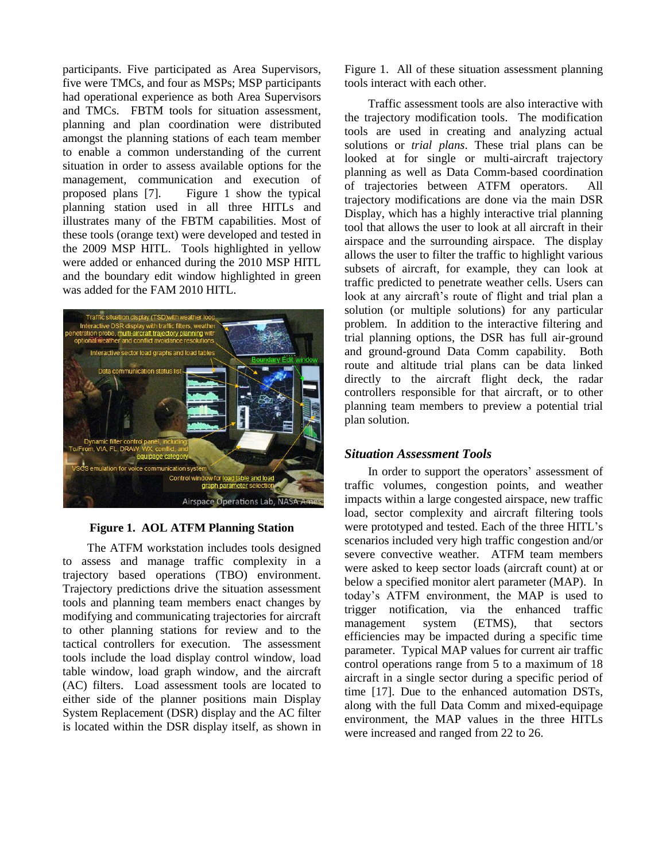participants. Five participated as Area Supervisors, five were TMCs, and four as MSPs; MSP participants had operational experience as both Area Supervisors and TMCs. FBTM tools for situation assessment, planning and plan coordination were distributed amongst the planning stations of each team member to enable a common understanding of the current situation in order to assess available options for the management, communication and execution of proposed plans [7]. [Figure 1](#page-2-0) show the typical planning station used in all three HITLs and illustrates many of the FBTM capabilities. Most of these tools (orange text) were developed and tested in the 2009 MSP HITL. Tools highlighted in yellow were added or enhanced during the 2010 MSP HITL and the boundary edit window highlighted in green was added for the FAM 2010 HITL.



**Figure 1. AOL ATFM Planning Station**

<span id="page-2-0"></span>The ATFM workstation includes tools designed to assess and manage traffic complexity in a trajectory based operations (TBO) environment. Trajectory predictions drive the situation assessment tools and planning team members enact changes by modifying and communicating trajectories for aircraft to other planning stations for review and to the tactical controllers for execution. The assessment tools include the load display control window, load table window, load graph window, and the aircraft (AC) filters. Load assessment tools are located to either side of the planner positions main Display System Replacement (DSR) display and the AC filter is located within the DSR display itself, as shown in Figure 1. All of these situation assessment planning tools interact with each other.

Traffic assessment tools are also interactive with the trajectory modification tools. The modification tools are used in creating and analyzing actual solutions or *trial plans*. These trial plans can be looked at for single or multi-aircraft trajectory planning as well as Data Comm-based coordination of trajectories between ATFM operators. All trajectory modifications are done via the main DSR Display, which has a highly interactive trial planning tool that allows the user to look at all aircraft in their airspace and the surrounding airspace. The display allows the user to filter the traffic to highlight various subsets of aircraft, for example, they can look at traffic predicted to penetrate weather cells. Users can look at any aircraft's route of flight and trial plan a solution (or multiple solutions) for any particular problem. In addition to the interactive filtering and trial planning options, the DSR has full air-ground and ground-ground Data Comm capability. Both route and altitude trial plans can be data linked directly to the aircraft flight deck, the radar controllers responsible for that aircraft, or to other planning team members to preview a potential trial plan solution.

#### *Situation Assessment Tools*

In order to support the operators' assessment of traffic volumes, congestion points, and weather impacts within a large congested airspace, new traffic load, sector complexity and aircraft filtering tools were prototyped and tested. Each of the three HITL's scenarios included very high traffic congestion and/or severe convective weather. ATFM team members were asked to keep sector loads (aircraft count) at or below a specified monitor alert parameter (MAP). In today's ATFM environment, the MAP is used to trigger notification, via the enhanced traffic management system (ETMS), that sectors efficiencies may be impacted during a specific time parameter. Typical MAP values for current air traffic control operations range from 5 to a maximum of 18 aircraft in a single sector during a specific period of time [17]. Due to the enhanced automation DSTs, along with the full Data Comm and mixed-equipage environment, the MAP values in the three HITLs were increased and ranged from 22 to 26.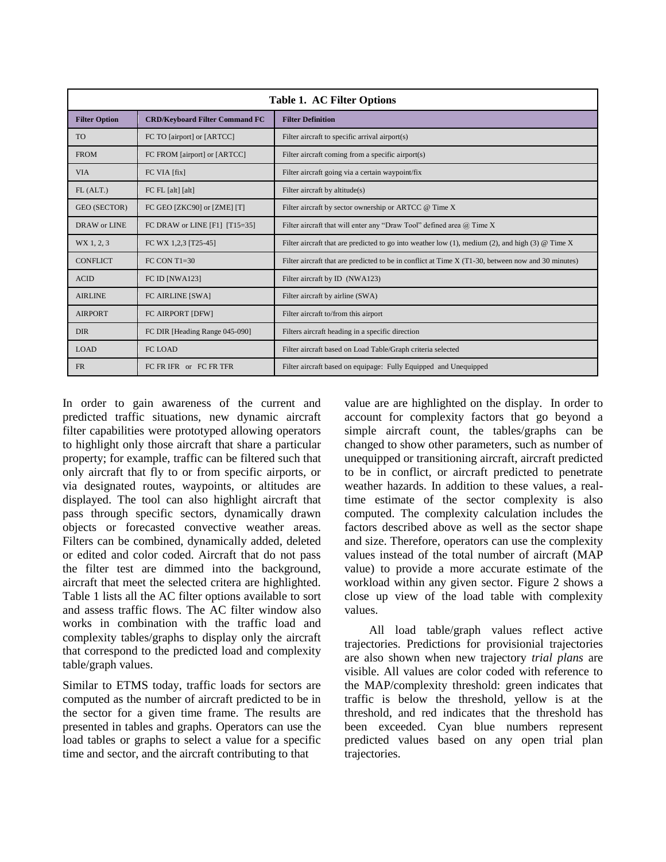<span id="page-3-0"></span>

| <b>Table 1. AC Filter Options</b> |                                       |                                                                                                            |  |  |  |  |
|-----------------------------------|---------------------------------------|------------------------------------------------------------------------------------------------------------|--|--|--|--|
| <b>Filter Option</b>              | <b>CRD/Keyboard Filter Command FC</b> | <b>Filter Definition</b>                                                                                   |  |  |  |  |
| <b>TO</b>                         | FC TO [airport] or [ARTCC]            | Filter aircraft to specific arrival airport(s)                                                             |  |  |  |  |
| <b>FROM</b>                       | FC FROM [airport] or [ARTCC]          | Filter aircraft coming from a specific airport(s)                                                          |  |  |  |  |
| <b>VIA</b>                        | FC VIA [fix]                          | Filter aircraft going via a certain waypoint/fix                                                           |  |  |  |  |
| FL (ALT.)                         | FC FL [alt] [alt]                     | Filter aircraft by altitude(s)                                                                             |  |  |  |  |
| GEO (SECTOR)                      | FC GEO [ZKC90] or [ZME] [T]           | Filter aircraft by sector ownership or ARTCC @ Time X                                                      |  |  |  |  |
| DRAW or LINE                      | FC DRAW or LINE $[F1]$ $[T15=35]$     | Filter aircraft that will enter any "Draw Tool" defined area $\omega$ Time X                               |  |  |  |  |
| WX 1, 2, 3                        | FC WX 1,2,3 [T25-45]                  | Filter aircraft that are predicted to go into weather low (1), medium (2), and high (3) $\circledR$ Time X |  |  |  |  |
| <b>CONFLICT</b>                   | $FC CON T1=30$                        | Filter aircraft that are predicted to be in conflict at Time X (T1-30, between now and 30 minutes)         |  |  |  |  |
| <b>ACID</b>                       | FC ID [NWA123]                        | Filter aircraft by ID (NWA123)                                                                             |  |  |  |  |
| <b>AIRLINE</b>                    | FC AIRLINE [SWA]                      | Filter aircraft by airline (SWA)                                                                           |  |  |  |  |
| <b>AIRPORT</b>                    | FC AIRPORT [DFW]                      | Filter aircraft to/from this airport                                                                       |  |  |  |  |
| <b>DIR</b>                        | FC DIR [Heading Range 045-090]        | Filters aircraft heading in a specific direction                                                           |  |  |  |  |
| <b>LOAD</b>                       | <b>FC LOAD</b>                        | Filter aircraft based on Load Table/Graph criteria selected                                                |  |  |  |  |
| <b>FR</b>                         | FC FR IFR or FC FR TFR                | Filter aircraft based on equipage: Fully Equipped and Unequipped                                           |  |  |  |  |

In order to gain awareness of the current and predicted traffic situations, new dynamic aircraft filter capabilities were prototyped allowing operators to highlight only those aircraft that share a particular property; for example, traffic can be filtered such that only aircraft that fly to or from specific airports, or via designated routes, waypoints, or altitudes are displayed. The tool can also highlight aircraft that pass through specific sectors, dynamically drawn objects or forecasted convective weather areas. Filters can be combined, dynamically added, deleted or edited and color coded. Aircraft that do not pass the filter test are dimmed into the background, aircraft that meet the selected critera are highlighted. [Table 1](#page-3-0) lists all the AC filter options available to sort and assess traffic flows. The AC filter window also works in combination with the traffic load and complexity tables/graphs to display only the aircraft that correspond to the predicted load and complexity table/graph values.

Similar to ETMS today, traffic loads for sectors are computed as the number of aircraft predicted to be in the sector for a given time frame. The results are presented in tables and graphs. Operators can use the load tables or graphs to select a value for a specific time and sector, and the aircraft contributing to that

value are are highlighted on the display. In order to account for complexity factors that go beyond a simple aircraft count, the tables/graphs can be changed to show other parameters, such as number of unequipped or transitioning aircraft, aircraft predicted to be in conflict, or aircraft predicted to penetrate weather hazards. In addition to these values, a realtime estimate of the sector complexity is also computed. The complexity calculation includes the factors described above as well as the sector shape and size. Therefore, operators can use the complexity values instead of the total number of aircraft (MAP value) to provide a more accurate estimate of the workload within any given sector. [Figure 2](#page-4-0) shows a close up view of the load table with complexity values.

All load table/graph values reflect active trajectories. Predictions for provisionial trajectories are also shown when new trajectory *trial plans* are visible. All values are color coded with reference to the MAP/complexity threshold: green indicates that traffic is below the threshold, yellow is at the threshold, and red indicates that the threshold has been exceeded. Cyan blue numbers represent predicted values based on any open trial plan trajectories.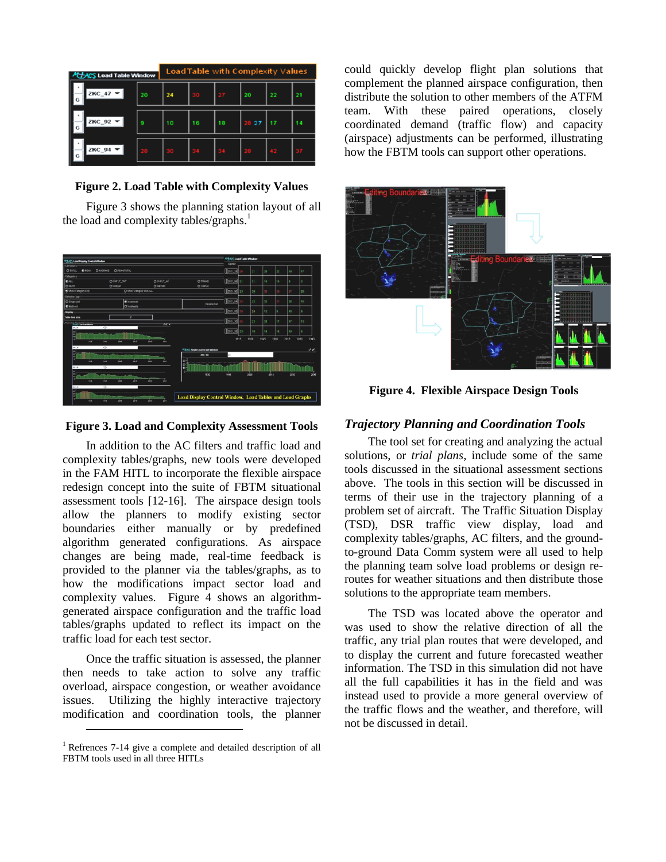| <b>MEACS Load Table Window</b> |    | <b>Load Table with Complexity Values</b> |    |    |    |    |    |  |  |
|--------------------------------|----|------------------------------------------|----|----|----|----|----|--|--|
| $ZKC_47$<br>G                  | 20 | 24                                       | 30 | 27 | 20 | 22 | 21 |  |  |
| ZKC_92 -<br>l G                | 9  | 10                                       | 16 | 18 | 27 |    |    |  |  |
| ZKC_94<br>G                    | 28 | 30                                       |    |    | 28 |    |    |  |  |

<span id="page-4-0"></span>**Figure 2. Load Table with Complexity Values**

[Figure 3](#page-4-1) shows the planning station layout of all the load and complexity tables/graphs. $<sup>1</sup>$ </sup>

| <b>TEACS Lead Display Control Window</b>    |                                        |                         |                          |                                                                 | <b>ALENCE Load Table Window</b> |      |                         |                 |         |      |              |
|---------------------------------------------|----------------------------------------|-------------------------|--------------------------|-----------------------------------------------------------------|---------------------------------|------|-------------------------|-----------------|---------|------|--------------|
| Celtivature                                 |                                        |                         |                          |                                                                 | Sector                          |      |                         |                 |         |      |              |
| <b>C</b> TOTAL<br><b>CO</b> PEAK            | <b>OANERADE</b><br><b>O PEAKTOTAL</b>  |                         |                          |                                                                 | 200, 20                         |      | 21                      | 30              | $^{22}$ | 19   | 17           |
| Categories                                  |                                        |                         |                          |                                                                 |                                 |      |                         |                 |         |      |              |
| <b>BOALL</b><br><b>OFILTR</b>               | O CNFLT.CNT<br>OUNEOF                  |                         | O CNFLT.AC<br>OWED-R     | <b>C TRANS</b><br><b>O CMPLX</b>                                | 200.98                          | lэ   | $^{21}$                 | 16              | 15      | ٠    | ٠            |
| Sticky Category only                        |                                        | C Show Category and ALL |                          |                                                                 | $\sqrt{2}$                      | i za | 20                      |                 | w       |      | 20           |
| Selection logic-                            |                                        |                         |                          |                                                                 |                                 |      |                         |                 |         |      |              |
| O lingle call<br><b>Charles</b> cell        | <b>O</b> in any call<br>O in ail cells |                         |                          | <b>Deselect all</b>                                             | 200.94                          |      | $\overline{\mathbf{z}}$ | $\overline{22}$ |         | 20   | 10           |
| <b>Display</b>                              |                                        |                         |                          |                                                                 | DIC_92                          |      | $24$                    | m               | ۰       | 10   | $\mathbf{Q}$ |
| <b>Table Gant size</b>                      | $\overline{ }$                         |                         |                          |                                                                 | 200,30                          |      | $\overline{\mathbf{r}}$ | 20              | 17      | 17   | 13           |
| <b>REACTION PROPERTY</b><br><b>Dell Ave</b> | $+1$                                   |                         | $\overline{\mathcal{U}}$ |                                                                 |                                 |      |                         |                 |         |      |              |
| ŗ.                                          |                                        |                         |                          |                                                                 | $\sqrt{20228}$ 22               |      | 19                      | m               | 16      | 10   | ٠            |
| ٠<br><b>Hotel</b>                           | <b>Here</b><br>÷                       | 74<br>÷                 | m                        |                                                                 | 1915                            |      | 1930                    | 1945            | 2000    | 2015 | 2030<br>2045 |
| Oct. Inc.                                   | $+1$                                   |                         |                          | PERIOS Single Load Graph Window                                 |                                 |      |                         |                 |         |      | 35           |
| E.                                          |                                        |                         |                          | ZNC 90                                                          |                                 |      |                         |                 |         |      |              |
| <b>Hotel</b>                                | 1945<br>m                              | ÷<br>m                  | <b>UNIT</b>              | $30 -$<br>30                                                    |                                 |      |                         |                 |         |      |              |
| <b>INC. NO</b>                              | $+1$                                   |                         |                          | 10 <sup>1</sup><br>ö                                            |                                 |      |                         |                 |         |      |              |
| E                                           |                                        |                         |                          | 1920                                                            | 1945                            |      | 2008                    | 7015            |         | 2030 | 2045         |
| man.                                        | <b>They</b><br>÷                       | <b>WHY</b><br>÷         | <b>Bigs</b>              |                                                                 |                                 |      |                         |                 |         |      |              |
| (b)                                         | $+1$                                   |                         |                          |                                                                 |                                 |      |                         |                 |         |      |              |
| <b>RAND</b>                                 |                                        |                         |                          | <b>Load Display Control Window, Load Tables and Load Graphs</b> |                                 |      |                         |                 |         |      |              |
| 1914                                        | 1641<br>m                              | <b>Sect</b><br>÷        | т.,                      |                                                                 |                                 |      |                         |                 |         |      |              |

<span id="page-4-1"></span>**Figure 3. Load and Complexity Assessment Tools**

In addition to the AC filters and traffic load and complexity tables/graphs, new tools were developed in the FAM HITL to incorporate the flexible airspace redesign concept into the suite of FBTM situational assessment tools [12-16]. The airspace design tools allow the planners to modify existing sector boundaries either manually or by predefined algorithm generated configurations. As airspace changes are being made, real-time feedback is provided to the planner via the tables/graphs, as to how the modifications impact sector load and complexity values. [Figure](#page-4-2) 4 shows an algorithmgenerated airspace configuration and the traffic load tables/graphs updated to reflect its impact on the traffic load for each test sector.

Once the traffic situation is assessed, the planner then needs to take action to solve any traffic overload, airspace congestion, or weather avoidance issues. Utilizing the highly interactive trajectory modification and coordination tools, the planner

l

could quickly develop flight plan solutions that complement the planned airspace configuration, then distribute the solution to other members of the ATFM team. With these paired operations, closely coordinated demand (traffic flow) and capacity (airspace) adjustments can be performed, illustrating how the FBTM tools can support other operations.



<span id="page-4-2"></span>**Figure 4. Flexible Airspace Design Tools**

#### *Trajectory Planning and Coordination Tools*

The tool set for creating and analyzing the actual solutions, or *trial plans*, include some of the same tools discussed in the situational assessment sections above. The tools in this section will be discussed in terms of their use in the trajectory planning of a problem set of aircraft. The Traffic Situation Display (TSD), DSR traffic view display, load and complexity tables/graphs, AC filters, and the groundto-ground Data Comm system were all used to help the planning team solve load problems or design reroutes for weather situations and then distribute those solutions to the appropriate team members.

The TSD was located above the operator and was used to show the relative direction of all the traffic, any trial plan routes that were developed, and to display the current and future forecasted weather information. The TSD in this simulation did not have all the full capabilities it has in the field and was instead used to provide a more general overview of the traffic flows and the weather, and therefore, will not be discussed in detail.

<sup>1</sup> Refrences 7-14 give a complete and detailed description of all FBTM tools used in all three HITLs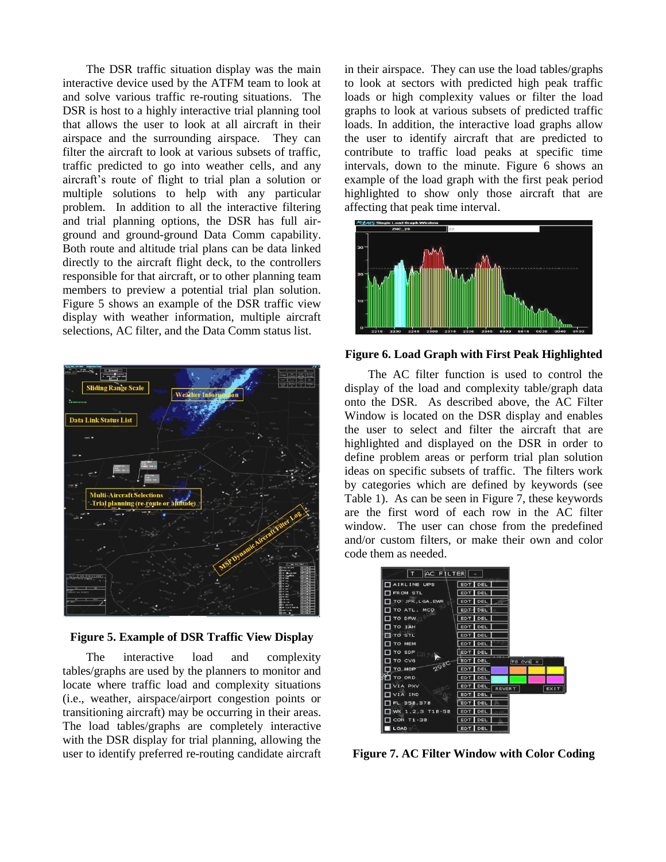The DSR traffic situation display was the main interactive device used by the ATFM team to look at and solve various traffic re-routing situations. The DSR is host to a highly interactive trial planning tool that allows the user to look at all aircraft in their airspace and the surrounding airspace. They can filter the aircraft to look at various subsets of traffic, traffic predicted to go into weather cells, and any aircraft's route of flight to trial plan a solution or multiple solutions to help with any particular problem. In addition to all the interactive filtering and trial planning options, the DSR has full airground and ground-ground Data Comm capability. Both route and altitude trial plans can be data linked directly to the aircraft flight deck, to the controllers responsible for that aircraft, or to other planning team members to preview a potential trial plan solution. [Figure 5](#page-5-0) shows an example of the DSR traffic view display with weather information, multiple aircraft selections, AC filter, and the Data Comm status list.



**Figure 5. Example of DSR Traffic View Display**

<span id="page-5-0"></span>The interactive load and complexity tables/graphs are used by the planners to monitor and locate where traffic load and complexity situations (i.e., weather, airspace/airport congestion points or transitioning aircraft) may be occurring in their areas. The load tables/graphs are completely interactive with the DSR display for trial planning, allowing the user to identify preferred re-routing candidate aircraft in their airspace. They can use the load tables/graphs to look at sectors with predicted high peak traffic loads or high complexity values or filter the load graphs to look at various subsets of predicted traffic loads. In addition, the interactive load graphs allow the user to identify aircraft that are predicted to contribute to traffic load peaks at specific time intervals, down to the minute. [Figure 6](#page-5-1) shows an example of the load graph with the first peak period highlighted to show only those aircraft that are affecting that peak time interval.



<span id="page-5-1"></span>**Figure 6. Load Graph with First Peak Highlighted**

The AC filter function is used to control the display of the load and complexity table/graph data onto the DSR. As described above, the AC Filter Window is located on the DSR display and enables the user to select and filter the aircraft that are highlighted and displayed on the DSR in order to define problem areas or perform trial plan solution ideas on specific subsets of traffic. The filters work by categories which are defined by keywords (see [Table 1\)](#page-3-0). As can be seen in [Figure 7,](#page-5-2) these keywords are the first word of each row in the AC filter window. The user can chose from the predefined and/or custom filters, or make their own and color code them as needed.



<span id="page-5-2"></span>**Figure 7. AC Filter Window with Color Coding**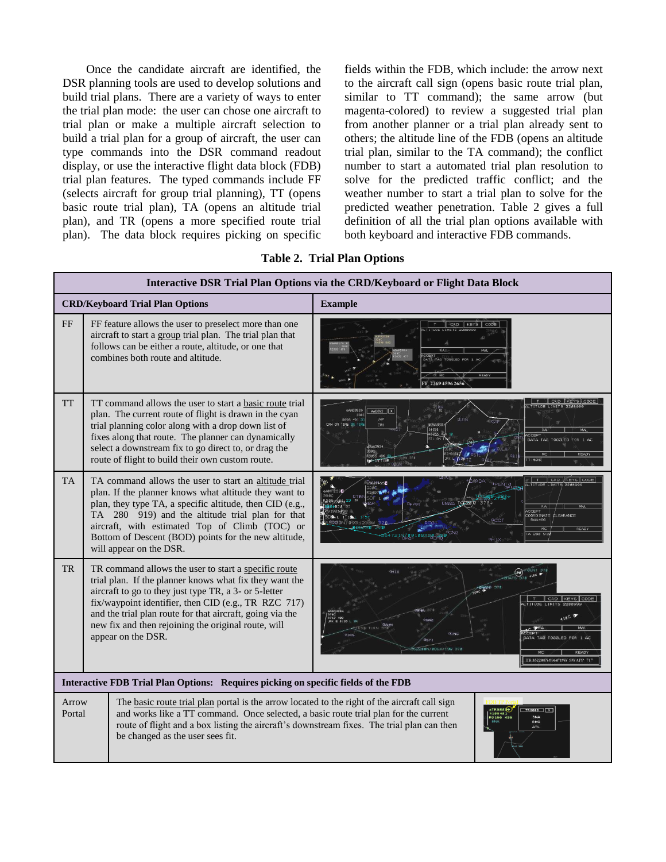Once the candidate aircraft are identified, the DSR planning tools are used to develop solutions and build trial plans. There are a variety of ways to enter the trial plan mode: the user can chose one aircraft to trial plan or make a multiple aircraft selection to build a trial plan for a group of aircraft, the user can type commands into the DSR command readout display, or use the interactive flight data block (FDB) trial plan features. The typed commands include FF (selects aircraft for group trial planning), TT (opens basic route trial plan), TA (opens an altitude trial plan), and TR (opens a more specified route trial plan). The data block requires picking on specific fields within the FDB, which include: the arrow next to the aircraft call sign (opens basic route trial plan, similar to TT command); the same arrow (but magenta-colored) to review a suggested trial plan from another planner or a trial plan already sent to others; the altitude line of the FDB (opens an altitude trial plan, similar to the TA command); the conflict number to start a automated trial plan resolution to solve for the predicted traffic conflict; and the weather number to start a trial plan to solve for the predicted weather penetration. [Table 2](#page-6-0) gives a full definition of all the trial plan options available with both keyboard and interactive FDB commands.

<span id="page-6-0"></span>

| Interactive DSR Trial Plan Options via the CRD/Keyboard or Flight Data Block       |                                                                                                                                                                                                                                                                                                                                                                            |                                                                          |  |  |  |  |
|------------------------------------------------------------------------------------|----------------------------------------------------------------------------------------------------------------------------------------------------------------------------------------------------------------------------------------------------------------------------------------------------------------------------------------------------------------------------|--------------------------------------------------------------------------|--|--|--|--|
|                                                                                    | <b>CRD/Keyboard Trial Plan Options</b>                                                                                                                                                                                                                                                                                                                                     | <b>Example</b>                                                           |  |  |  |  |
| FF                                                                                 | FF feature allows the user to preselect more than one<br>aircraft to start a group trial plan. The trial plan that<br>follows can be either a route, altitude, or one that<br>combines both route and altitude.                                                                                                                                                            | FF 2369 4596 2656                                                        |  |  |  |  |
| <b>TT</b>                                                                          | TT command allows the user to start a basic route trial<br>plan. The current route of flight is drawn in the cyan<br>trial planning color along with a drop down list of<br>fixes along that route. The planner can dynamically<br>select a downstream fix to go direct to, or drag the<br>route of flight to build their own custom route.                                | AVES92<br>491 3                                                          |  |  |  |  |
| <b>TA</b>                                                                          | TA command allows the user to start an altitude trial<br>plan. If the planner knows what altitude they want to<br>plan, they type TA, a specific altitude, then CID (e.g.,<br>TA 280 919) and the altitude trial plan for that<br>aircraft, with estimated Top of Climb (TOC) or<br>Bottom of Descent (BOD) points for the new altitude,<br>will appear on the DSR.        | <b>ORDINATE</b><br>LEARANCE<br>SM4466<br><b>PEAR</b>                     |  |  |  |  |
| <b>TR</b>                                                                          | TR command allows the user to start a specific route<br>trial plan. If the planner knows what fix they want the<br>aircraft to go to they just type TR, a 3- or 5-letter<br>fix/waypoint identifier, then CID (e.g., TR RZC 717)<br>and the trial plan route for that aircraft, going via the<br>new fix and then rejoining the original route, will<br>appear on the DSR. | EST TURN 37<br><b>O JKS</b><br>YRD<br>88N/8864219W 378<br>8964719W SWAPP |  |  |  |  |
| Interactive FDB Trial Plan Options: Requires picking on specific fields of the FDB |                                                                                                                                                                                                                                                                                                                                                                            |                                                                          |  |  |  |  |
| Arrow<br>Portal                                                                    | The basic route trial plan portal is the arrow located to the right of the aircraft call sign<br>and works like a TT command. Once selected, a basic route trial plan for the current<br>route of flight and a box listing the aircraft's downstream fixes. The trial plan can then<br>be changed as the user sees fit.                                                    | TRSON2<br>RMG                                                            |  |  |  |  |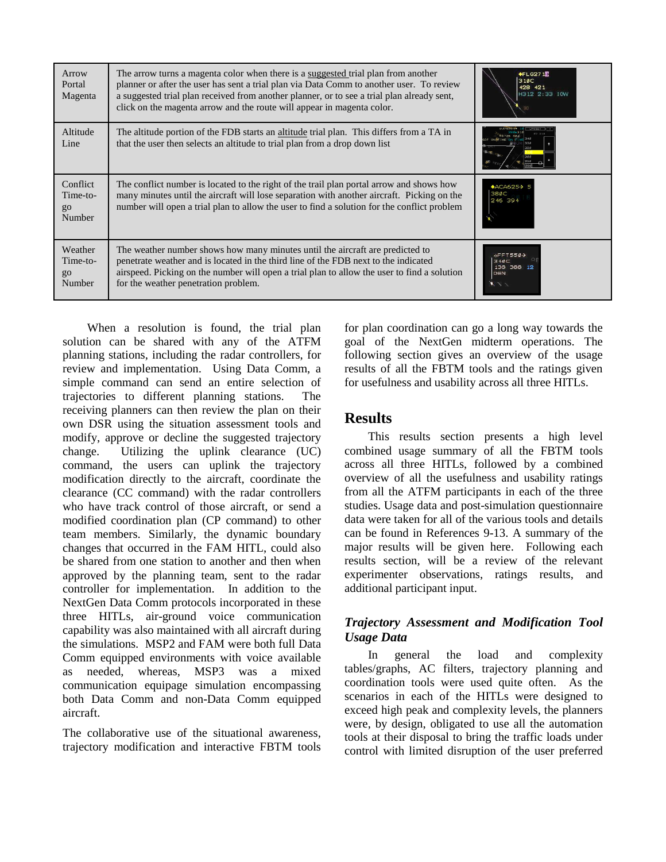| Arrow<br>Portal<br>Magenta                | The arrow turns a magenta color when there is a suggested trial plan from another<br>planner or after the user has sent a trial plan via Data Comm to another user. To review<br>a suggested trial plan received from another planner, or to see a trial plan already sent,<br>click on the magenta arrow and the route will appear in magenta color. | $+E_G271E$<br>310C<br>428 421<br>H312 2:33 TOW                           |
|-------------------------------------------|-------------------------------------------------------------------------------------------------------------------------------------------------------------------------------------------------------------------------------------------------------------------------------------------------------------------------------------------------------|--------------------------------------------------------------------------|
| Altitude<br>Line                          | The altitude portion of the FDB starts an altitude trial plan. This differs from a TA in<br>that the user then selects an altitude to trial plan from a drop down list                                                                                                                                                                                |                                                                          |
| Conflict<br>Time-to-<br>$g_{0}$<br>Number | The conflict number is located to the right of the trail plan portal arrow and shows how<br>many minutes until the aircraft will lose separation with another aircraft. Picking on the<br>number will open a trial plan to allow the user to find a solution for the conflict problem                                                                 | $ACA625 +$<br>380C<br>246 394                                            |
| Weather<br>Time-to-<br>$g_{0}$<br>Number  | The weather number shows how many minutes until the aircraft are predicted to<br>penetrate weather and is located in the third line of the FDB next to the indicated<br>airspeed. Picking on the number will open a trial plan to allow the user to find a solution<br>for the weather penetration problem.                                           | $\circ$ FFT550-<br>340C<br>138 388 12<br>DEN<br>$\lambda \times \lambda$ |

When a resolution is found, the trial plan solution can be shared with any of the ATFM planning stations, including the radar controllers, for review and implementation. Using Data Comm, a simple command can send an entire selection of trajectories to different planning stations. The receiving planners can then review the plan on their own DSR using the situation assessment tools and modify, approve or decline the suggested trajectory change. Utilizing the uplink clearance (UC) command, the users can uplink the trajectory modification directly to the aircraft, coordinate the clearance (CC command) with the radar controllers who have track control of those aircraft, or send a modified coordination plan (CP command) to other team members. Similarly, the dynamic boundary changes that occurred in the FAM HITL, could also be shared from one station to another and then when approved by the planning team, sent to the radar controller for implementation. In addition to the NextGen Data Comm protocols incorporated in these three HITLs, air-ground voice communication capability was also maintained with all aircraft during the simulations. MSP2 and FAM were both full Data Comm equipped environments with voice available as needed, whereas, MSP3 was a mixed communication equipage simulation encompassing both Data Comm and non-Data Comm equipped aircraft.

The collaborative use of the situational awareness, trajectory modification and interactive FBTM tools for plan coordination can go a long way towards the goal of the NextGen midterm operations. The following section gives an overview of the usage results of all the FBTM tools and the ratings given for usefulness and usability across all three HITLs.

## **Results**

This results section presents a high level combined usage summary of all the FBTM tools across all three HITLs, followed by a combined overview of all the usefulness and usability ratings from all the ATFM participants in each of the three studies. Usage data and post-simulation questionnaire data were taken for all of the various tools and details can be found in References 9-13. A summary of the major results will be given here. Following each results section, will be a review of the relevant experimenter observations, ratings results, and additional participant input.

### *Trajectory Assessment and Modification Tool Usage Data*

In general the load and complexity tables/graphs, AC filters, trajectory planning and coordination tools were used quite often. As the scenarios in each of the HITLs were designed to exceed high peak and complexity levels, the planners were, by design, obligated to use all the automation tools at their disposal to bring the traffic loads under control with limited disruption of the user preferred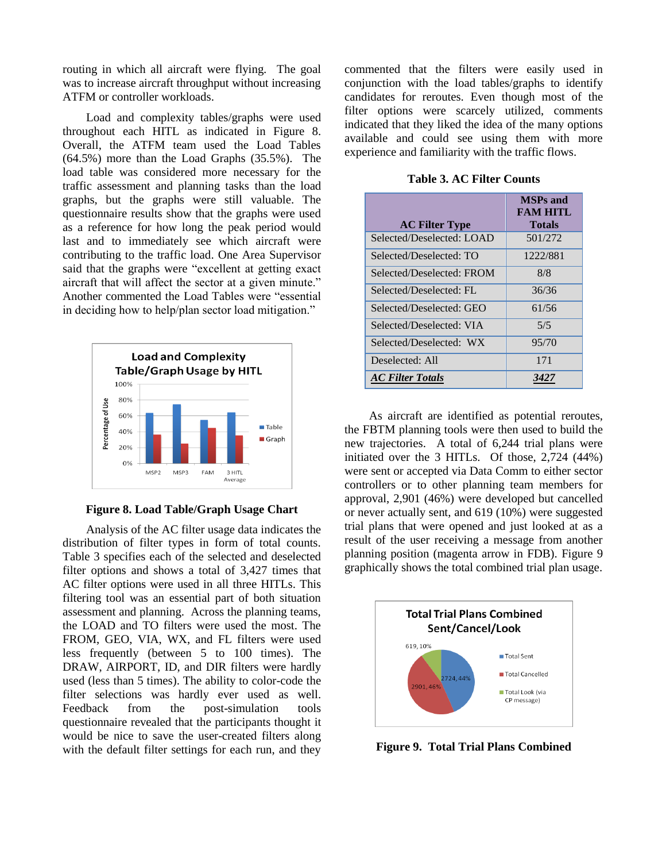routing in which all aircraft were flying. The goal was to increase aircraft throughput without increasing ATFM or controller workloads.

Load and complexity tables/graphs were used throughout each HITL as indicated in [Figure 8.](#page-8-0) Overall, the ATFM team used the Load Tables (64.5%) more than the Load Graphs (35.5%). The load table was considered more necessary for the traffic assessment and planning tasks than the load graphs, but the graphs were still valuable. The questionnaire results show that the graphs were used as a reference for how long the peak period would last and to immediately see which aircraft were contributing to the traffic load. One Area Supervisor said that the graphs were "excellent at getting exact aircraft that will affect the sector at a given minute." Another commented the Load Tables were "essential in deciding how to help/plan sector load mitigation."



#### <span id="page-8-0"></span>**Figure 8. Load Table/Graph Usage Chart**

Analysis of the AC filter usage data indicates the distribution of filter types in form of total counts. [Table 3](#page-8-1) specifies each of the selected and deselected filter options and shows a total of 3,427 times that AC filter options were used in all three HITLs. This filtering tool was an essential part of both situation assessment and planning. Across the planning teams, the LOAD and TO filters were used the most. The FROM, GEO, VIA, WX, and FL filters were used less frequently (between 5 to 100 times). The DRAW, AIRPORT, ID, and DIR filters were hardly used (less than 5 times). The ability to color-code the filter selections was hardly ever used as well. Feedback from the post-simulation tools questionnaire revealed that the participants thought it would be nice to save the user-created filters along with the default filter settings for each run, and they commented that the filters were easily used in conjunction with the load tables/graphs to identify candidates for reroutes. Even though most of the filter options were scarcely utilized, comments indicated that they liked the idea of the many options available and could see using them with more experience and familiarity with the traffic flows.

<span id="page-8-1"></span>

| <b>AC Filter Type</b>     | <b>MSPs and</b><br><b>FAM HITL</b><br><b>Totals</b> |
|---------------------------|-----------------------------------------------------|
| Selected/Deselected: LOAD | 501/272                                             |
| Selected/Deselected: TO   | 1222/881                                            |
| Selected/Deselected: FROM | 8/8                                                 |
| Selected/Deselected: FL   | 36/36                                               |
| Selected/Deselected: GEO  | 61/56                                               |
| Selected/Deselected: VIA  | 5/5                                                 |
| Selected/Deselected: WX   | 95/70                                               |
| Deselected: All           | 171                                                 |
| <b>AC Filter Totals</b>   |                                                     |

**Table 3. AC Filter Counts**

As aircraft are identified as potential reroutes, the FBTM planning tools were then used to build the new trajectories. A total of 6,244 trial plans were initiated over the 3 HITLs. Of those, 2,724 (44%) were sent or accepted via Data Comm to either sector controllers or to other planning team members for approval, 2,901 (46%) were developed but cancelled or never actually sent, and 619 (10%) were suggested trial plans that were opened and just looked at as a result of the user receiving a message from another planning position (magenta arrow in FDB). [Figure 9](#page-8-2) graphically shows the total combined trial plan usage.



<span id="page-8-2"></span>**Figure 9. Total Trial Plans Combined**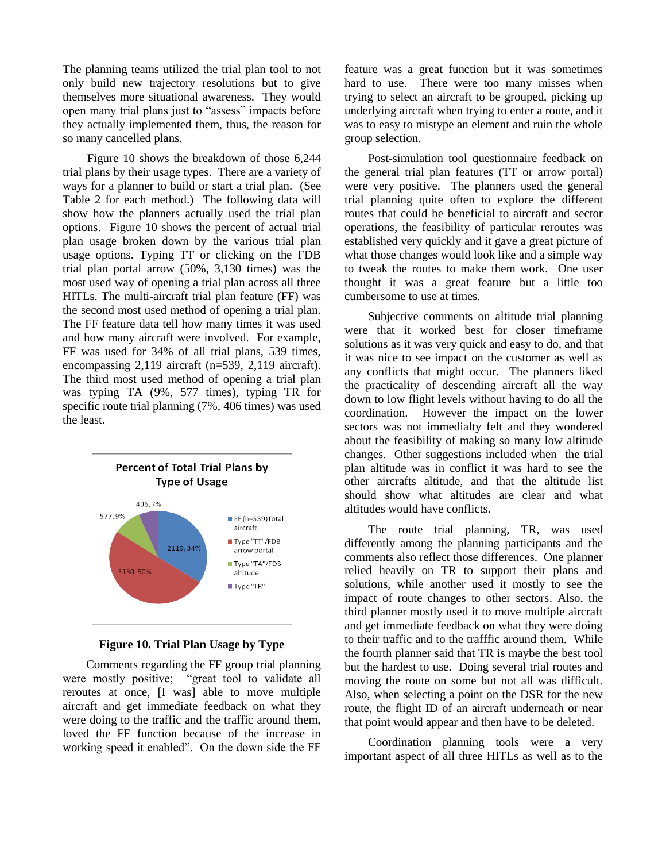The planning teams utilized the trial plan tool to not only build new trajectory resolutions but to give themselves more situational awareness. They would open many trial plans just to "assess" impacts before they actually implemented them, thus, the reason for so many cancelled plans.

[Figure 10](#page-9-0) shows the breakdown of those 6,244 trial plans by their usage types. There are a variety of ways for a planner to build or start a trial plan. (See [Table 2](#page-6-0) for each method.) The following data will show how the planners actually used the trial plan options. [Figure 10](#page-9-0) shows the percent of actual trial plan usage broken down by the various trial plan usage options. Typing TT or clicking on the FDB trial plan portal arrow (50%, 3,130 times) was the most used way of opening a trial plan across all three HITLs. The multi-aircraft trial plan feature (FF) was the second most used method of opening a trial plan. The FF feature data tell how many times it was used and how many aircraft were involved. For example, FF was used for 34% of all trial plans, 539 times, encompassing 2,119 aircraft (n=539, 2,119 aircraft). The third most used method of opening a trial plan was typing TA (9%, 577 times), typing TR for specific route trial planning (7%, 406 times) was used the least.



**Figure 10. Trial Plan Usage by Type**

<span id="page-9-0"></span>Comments regarding the FF group trial planning were mostly positive; "great tool to validate all reroutes at once, [I was] able to move multiple aircraft and get immediate feedback on what they were doing to the traffic and the traffic around them, loved the FF function because of the increase in working speed it enabled". On the down side the FF

feature was a great function but it was sometimes hard to use. There were too many misses when trying to select an aircraft to be grouped, picking up underlying aircraft when trying to enter a route, and it was to easy to mistype an element and ruin the whole group selection.

Post-simulation tool questionnaire feedback on the general trial plan features (TT or arrow portal) were very positive. The planners used the general trial planning quite often to explore the different routes that could be beneficial to aircraft and sector operations, the feasibility of particular reroutes was established very quickly and it gave a great picture of what those changes would look like and a simple way to tweak the routes to make them work. One user thought it was a great feature but a little too cumbersome to use at times.

Subjective comments on altitude trial planning were that it worked best for closer timeframe solutions as it was very quick and easy to do, and that it was nice to see impact on the customer as well as any conflicts that might occur. The planners liked the practicality of descending aircraft all the way down to low flight levels without having to do all the coordination. However the impact on the lower sectors was not immedialty felt and they wondered about the feasibility of making so many low altitude changes. Other suggestions included when the trial plan altitude was in conflict it was hard to see the other aircrafts altitude, and that the altitude list should show what altitudes are clear and what altitudes would have conflicts.

The route trial planning, TR, was used differently among the planning participants and the comments also reflect those differences. One planner relied heavily on TR to support their plans and solutions, while another used it mostly to see the impact of route changes to other sectors. Also, the third planner mostly used it to move multiple aircraft and get immediate feedback on what they were doing to their traffic and to the trafffic around them. While the fourth planner said that TR is maybe the best tool but the hardest to use. Doing several trial routes and moving the route on some but not all was difficult. Also, when selecting a point on the DSR for the new route, the flight ID of an aircraft underneath or near that point would appear and then have to be deleted.

Coordination planning tools were a very important aspect of all three HITLs as well as to the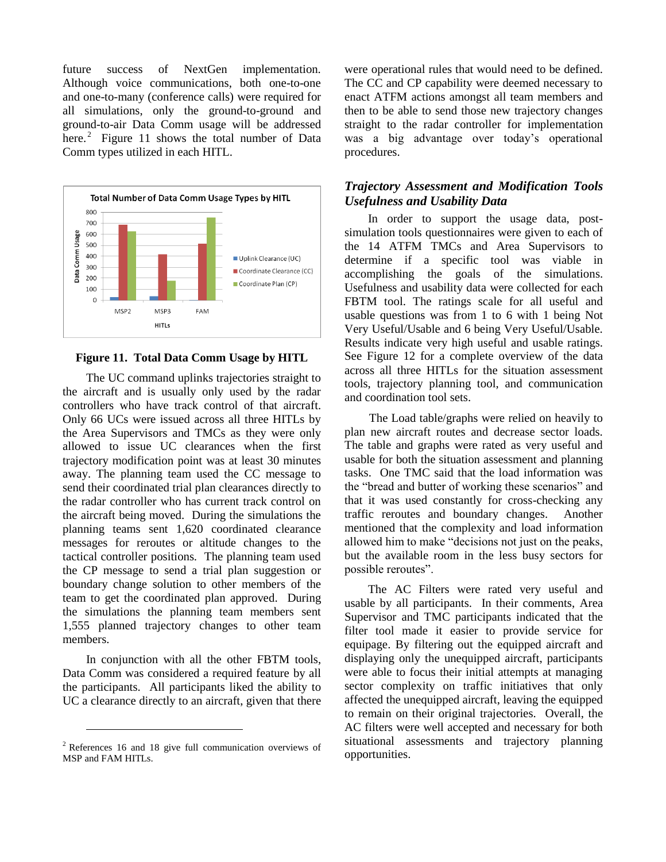future success of NextGen implementation. Although voice communications, both one-to-one and one-to-many (conference calls) were required for all simulations, only the ground-to-ground and ground-to-air Data Comm usage will be addressed here.<sup>2</sup> [Figure 11](#page-10-0) shows the total number of Data Comm types utilized in each HITL.



#### <span id="page-10-0"></span>**Figure 11. Total Data Comm Usage by HITL**

The UC command uplinks trajectories straight to the aircraft and is usually only used by the radar controllers who have track control of that aircraft. Only 66 UCs were issued across all three HITLs by the Area Supervisors and TMCs as they were only allowed to issue UC clearances when the first trajectory modification point was at least 30 minutes away. The planning team used the CC message to send their coordinated trial plan clearances directly to the radar controller who has current track control on the aircraft being moved. During the simulations the planning teams sent 1,620 coordinated clearance messages for reroutes or altitude changes to the tactical controller positions. The planning team used the CP message to send a trial plan suggestion or boundary change solution to other members of the team to get the coordinated plan approved. During the simulations the planning team members sent 1,555 planned trajectory changes to other team members.

In conjunction with all the other FBTM tools, Data Comm was considered a required feature by all the participants. All participants liked the ability to UC a clearance directly to an aircraft, given that there

l

were operational rules that would need to be defined. The CC and CP capability were deemed necessary to enact ATFM actions amongst all team members and then to be able to send those new trajectory changes straight to the radar controller for implementation was a big advantage over today's operational procedures.

#### *Trajectory Assessment and Modification Tools Usefulness and Usability Data*

In order to support the usage data, postsimulation tools questionnaires were given to each of the 14 ATFM TMCs and Area Supervisors to determine if a specific tool was viable in accomplishing the goals of the simulations. Usefulness and usability data were collected for each FBTM tool. The ratings scale for all useful and usable questions was from 1 to 6 with 1 being Not Very Useful/Usable and 6 being Very Useful/Usable. Results indicate very high useful and usable ratings. See [Figure 12](#page-11-0) for a complete overview of the data across all three HITLs for the situation assessment tools, trajectory planning tool, and communication and coordination tool sets.

The Load table/graphs were relied on heavily to plan new aircraft routes and decrease sector loads. The table and graphs were rated as very useful and usable for both the situation assessment and planning tasks. One TMC said that the load information was the "bread and butter of working these scenarios" and that it was used constantly for cross-checking any traffic reroutes and boundary changes. Another mentioned that the complexity and load information allowed him to make "decisions not just on the peaks, but the available room in the less busy sectors for possible reroutes".

The AC Filters were rated very useful and usable by all participants. In their comments, Area Supervisor and TMC participants indicated that the filter tool made it easier to provide service for equipage. By filtering out the equipped aircraft and displaying only the unequipped aircraft, participants were able to focus their initial attempts at managing sector complexity on traffic initiatives that only affected the unequipped aircraft, leaving the equipped to remain on their original trajectories. Overall, the AC filters were well accepted and necessary for both situational assessments and trajectory planning opportunities.

 $2$  References 16 and 18 give full communication overviews of MSP and FAM HITLs.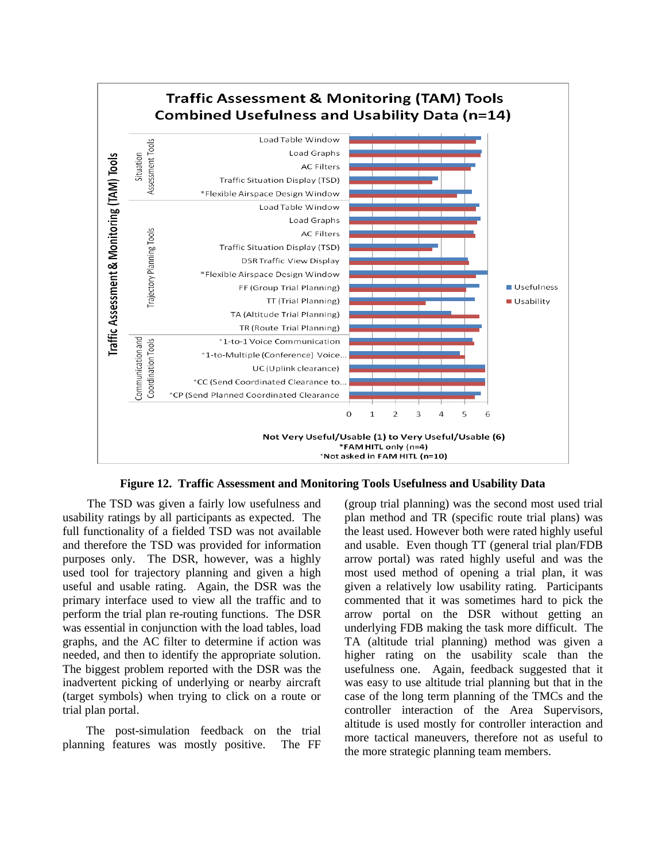

**Figure 12. Traffic Assessment and Monitoring Tools Usefulness and Usability Data**

<span id="page-11-0"></span>The TSD was given a fairly low usefulness and usability ratings by all participants as expected. The full functionality of a fielded TSD was not available and therefore the TSD was provided for information purposes only. The DSR, however, was a highly used tool for trajectory planning and given a high useful and usable rating. Again, the DSR was the primary interface used to view all the traffic and to perform the trial plan re-routing functions. The DSR was essential in conjunction with the load tables, load graphs, and the AC filter to determine if action was needed, and then to identify the appropriate solution. The biggest problem reported with the DSR was the inadvertent picking of underlying or nearby aircraft (target symbols) when trying to click on a route or trial plan portal.

The post-simulation feedback on the trial planning features was mostly positive. The FF (group trial planning) was the second most used trial plan method and TR (specific route trial plans) was the least used. However both were rated highly useful and usable. Even though TT (general trial plan/FDB arrow portal) was rated highly useful and was the most used method of opening a trial plan, it was given a relatively low usability rating. Participants commented that it was sometimes hard to pick the arrow portal on the DSR without getting an underlying FDB making the task more difficult. The TA (altitude trial planning) method was given a higher rating on the usability scale than the usefulness one. Again, feedback suggested that it was easy to use altitude trial planning but that in the case of the long term planning of the TMCs and the controller interaction of the Area Supervisors, altitude is used mostly for controller interaction and more tactical maneuvers, therefore not as useful to the more strategic planning team members.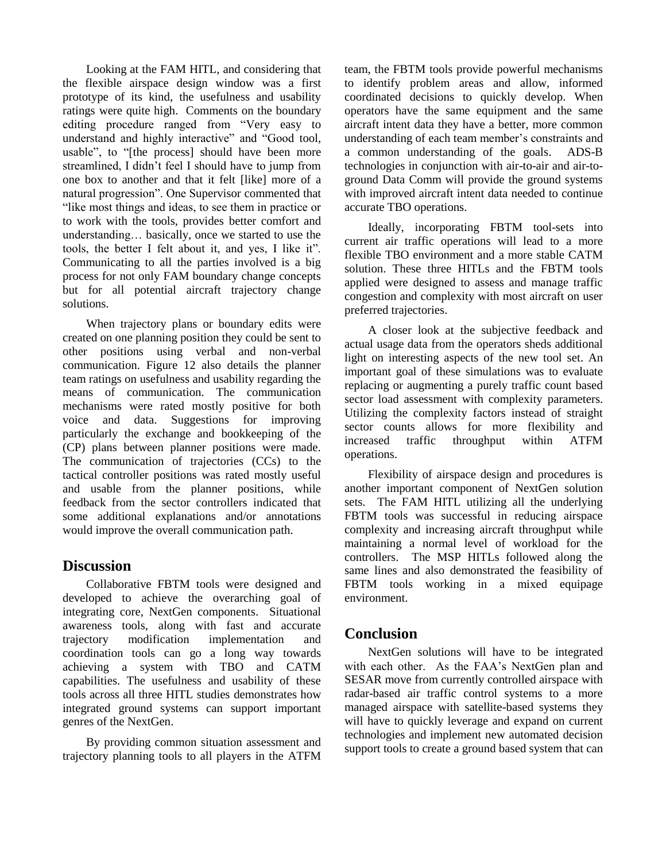Looking at the FAM HITL, and considering that the flexible airspace design window was a first prototype of its kind, the usefulness and usability ratings were quite high. Comments on the boundary editing procedure ranged from "Very easy to understand and highly interactive" and "Good tool, usable", to "[the process] should have been more streamlined, I didn't feel I should have to jump from one box to another and that it felt [like] more of a natural progression". One Supervisor commented that "like most things and ideas, to see them in practice or to work with the tools, provides better comfort and understanding… basically, once we started to use the tools, the better I felt about it, and yes, I like it". Communicating to all the parties involved is a big process for not only FAM boundary change concepts but for all potential aircraft trajectory change solutions.

When trajectory plans or boundary edits were created on one planning position they could be sent to other positions using verbal and non-verbal communication. [Figure 12](#page-11-0) also details the planner team ratings on usefulness and usability regarding the means of communication. The communication mechanisms were rated mostly positive for both voice and data. Suggestions for improving particularly the exchange and bookkeeping of the (CP) plans between planner positions were made. The communication of trajectories (CCs) to the tactical controller positions was rated mostly useful and usable from the planner positions, while feedback from the sector controllers indicated that some additional explanations and/or annotations would improve the overall communication path.

## **Discussion**

Collaborative FBTM tools were designed and developed to achieve the overarching goal of integrating core, NextGen components. Situational awareness tools, along with fast and accurate trajectory modification implementation and coordination tools can go a long way towards achieving a system with TBO and CATM capabilities. The usefulness and usability of these tools across all three HITL studies demonstrates how integrated ground systems can support important genres of the NextGen.

By providing common situation assessment and trajectory planning tools to all players in the ATFM team, the FBTM tools provide powerful mechanisms to identify problem areas and allow, informed coordinated decisions to quickly develop. When operators have the same equipment and the same aircraft intent data they have a better, more common understanding of each team member's constraints and a common understanding of the goals. ADS-B technologies in conjunction with air-to-air and air-toground Data Comm will provide the ground systems with improved aircraft intent data needed to continue accurate TBO operations.

Ideally, incorporating FBTM tool-sets into current air traffic operations will lead to a more flexible TBO environment and a more stable CATM solution. These three HITLs and the FBTM tools applied were designed to assess and manage traffic congestion and complexity with most aircraft on user preferred trajectories.

A closer look at the subjective feedback and actual usage data from the operators sheds additional light on interesting aspects of the new tool set. An important goal of these simulations was to evaluate replacing or augmenting a purely traffic count based sector load assessment with complexity parameters. Utilizing the complexity factors instead of straight sector counts allows for more flexibility and increased traffic throughput within ATFM operations.

Flexibility of airspace design and procedures is another important component of NextGen solution sets. The FAM HITL utilizing all the underlying FBTM tools was successful in reducing airspace complexity and increasing aircraft throughput while maintaining a normal level of workload for the controllers. The MSP HITLs followed along the same lines and also demonstrated the feasibility of FBTM tools working in a mixed equipage environment.

# **Conclusion**

NextGen solutions will have to be integrated with each other. As the FAA's NextGen plan and SESAR move from currently controlled airspace with radar-based air traffic control systems to a more managed airspace with satellite-based systems they will have to quickly leverage and expand on current technologies and implement new automated decision support tools to create a ground based system that can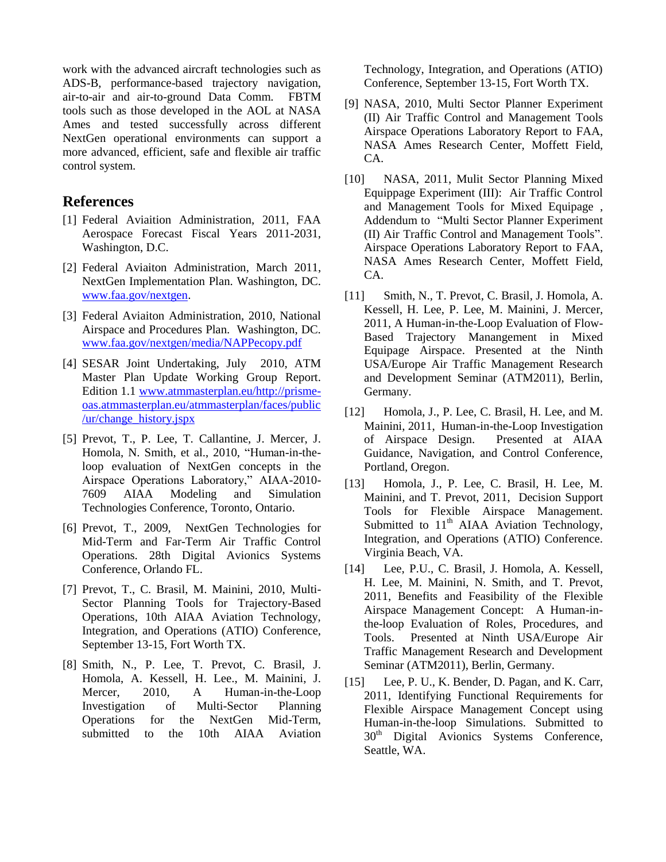work with the advanced aircraft technologies such as ADS-B, performance-based trajectory navigation, air-to-air and air-to-ground Data Comm. FBTM tools such as those developed in the AOL at NASA Ames and tested successfully across different NextGen operational environments can support a more advanced, efficient, safe and flexible air traffic control system.

### **References**

- [1] Federal Aviaition Administration, 2011, FAA Aerospace Forecast Fiscal Years 2011-2031, Washington, D.C.
- [2] Federal Aviaiton Administration, March 2011, NextGen Implementation Plan. Washington, DC. [www.faa.gov/nextgen.](http://www.faa.gov/nextgen)
- [3] Federal Aviaiton Administration, 2010, National Airspace and Procedures Plan. Washington, DC. [www.faa.gov/nextgen/media/NAPPecopy.pdf](http://www.faa.gov/nextgen/media/NAPPecopy.pdf)
- [4] SESAR Joint Undertaking, July 2010, ATM Master Plan Update Working Group Report. Edition 1.1 www.atmmasterplan.eu/http://prismeoas.atmmasterplan.eu/atmmasterplan/faces/public /ur/change\_history.jspx
- [5] Prevot, T., P. Lee, T. Callantine, J. Mercer, J. Homola, N. Smith, et al., 2010, "Human-in-theloop evaluation of NextGen concepts in the Airspace Operations Laboratory," AIAA-2010- 7609 AIAA Modeling and Simulation Technologies Conference, Toronto, Ontario.
- [6] Prevot, T., 2009, NextGen Technologies for Mid-Term and Far-Term Air Traffic Control Operations. 28th Digital Avionics Systems Conference, Orlando FL.
- [7] Prevot, T., C. Brasil, M. Mainini, 2010, Multi-Sector Planning Tools for Trajectory-Based Operations, 10th AIAA Aviation Technology, Integration, and Operations (ATIO) Conference, September 13-15, Fort Worth TX.
- [8] Smith, N., P. Lee, T. Prevot, C. Brasil, J. Homola, A. Kessell, H. Lee., M. Mainini, J. Mercer, 2010, A Human-in-the-Loop Investigation of Multi-Sector Planning Operations for the NextGen Mid-Term, submitted to the 10th AIAA Aviation

Technology, Integration, and Operations (ATIO) Conference, September 13-15, Fort Worth TX.

- [9] NASA, 2010, Multi Sector Planner Experiment (II) Air Traffic Control and Management Tools Airspace Operations Laboratory Report to FAA, NASA Ames Research Center, Moffett Field, CA.
- [10] NASA, 2011, Mulit Sector Planning Mixed Equippage Experiment (III): Air Traffic Control and Management Tools for Mixed Equipage , Addendum to "Multi Sector Planner Experiment (II) Air Traffic Control and Management Tools". Airspace Operations Laboratory Report to FAA, NASA Ames Research Center, Moffett Field, CA.
- [11] Smith, N., T. Prevot, C. Brasil, J. Homola, A. Kessell, H. Lee, P. Lee, M. Mainini, J. Mercer, 2011, A Human-in-the-Loop Evaluation of Flow-Based Trajectory Manangement in Mixed Equipage Airspace. Presented at the Ninth USA/Europe Air Traffic Management Research and Development Seminar (ATM2011), Berlin, Germany.
- [12] Homola, J., P. Lee, C. Brasil, H. Lee, and M. Mainini, 2011, Human-in-the-Loop Investigation of Airspace Design. Presented at AIAA Guidance, Navigation, and Control Conference, Portland, Oregon.
- [13] Homola, J., P. Lee, C. Brasil, H. Lee, M. Mainini, and T. Prevot, 2011, Decision Support Tools for Flexible Airspace Management. Submitted to  $11<sup>th</sup>$  AIAA Aviation Technology, Integration, and Operations (ATIO) Conference. Virginia Beach, VA.
- [14] Lee, P.U., C. Brasil, J. Homola, A. Kessell, H. Lee, M. Mainini, N. Smith, and T. Prevot, 2011, Benefits and Feasibility of the Flexible Airspace Management Concept: A Human-inthe-loop Evaluation of Roles, Procedures, and Tools. Presented at Ninth USA/Europe Air Traffic Management Research and Development Seminar (ATM2011), Berlin, Germany.
- [15] Lee, P. U., K. Bender, D. Pagan, and K. Carr, 2011, Identifying Functional Requirements for Flexible Airspace Management Concept using Human-in-the-loop Simulations. Submitted to 30<sup>th</sup> Digital Avionics Systems Conference, Seattle, WA.